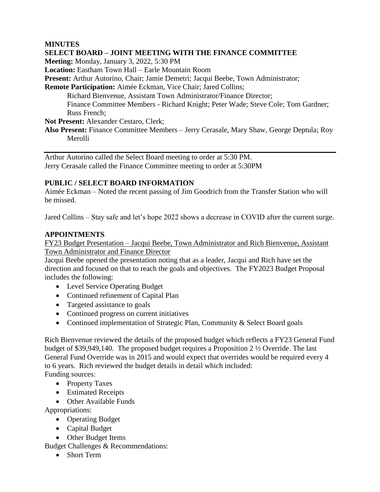#### **MINUTES**

#### **SELECT BOARD – JOINT MEETING WITH THE FINANCE COMMITTEE**

**Meeting:** Monday, January 3, 2022, 5:30 PM

**Location:** Eastham Town Hall – Earle Mountain Room

**Present:** Arthur Autorino, Chair; Jamie Demetri; Jacqui Beebe, Town Administrator;

**Remote Participation:** Aimée Eckman, Vice Chair; Jared Collins;

Richard Bienvenue, Assistant Town Administrator/Finance Director; Finance Committee Members - Richard Knight; Peter Wade; Steve Cole; Tom Gardner; Russ French;

**Not Present:** Alexander Cestaro, Clerk;

**Also Present:** Finance Committee Members – Jerry Cerasale, Mary Shaw, George Deptula; Roy Merolli

Arthur Autorino called the Select Board meeting to order at 5:30 PM. Jerry Cerasale called the Finance Committee meeting to order at 5:30PM

### **PUBLIC / SELECT BOARD INFORMATION**

Aimée Eckman – Noted the recent passing of Jim Goodrich from the Transfer Station who will be missed.

Jared Collins – Stay safe and let's hope 2022 shows a decrease in COVID after the current surge.

### **APPOINTMENTS**

FY23 Budget Presentation – Jacqui Beebe, Town Administrator and Rich Bienvenue, Assistant Town Administrator and Finance Director

Jacqui Beebe opened the presentation noting that as a leader, Jacqui and Rich have set the direction and focused on that to reach the goals and objectives. The FY2023 Budget Proposal includes the following:

- Level Service Operating Budget
- Continued refinement of Capital Plan
- Targeted assistance to goals
- Continued progress on current initiatives
- Continued implementation of Strategic Plan, Community & Select Board goals

Rich Bienvenue reviewed the details of the proposed budget which reflects a FY23 General Fund budget of \$39,949,140. The proposed budget requires a Proposition 2 ½ Override. The last General Fund Override was in 2015 and would expect that overrides would be required every 4 to 6 years. Rich reviewed the budget details in detail which included: Funding sources:

• Property Taxes

- Estimated Receipts
- Other Available Funds

Appropriations:

- Operating Budget
- Capital Budget
- Other Budget Items

Budget Challenges & Recommendations:

• Short Term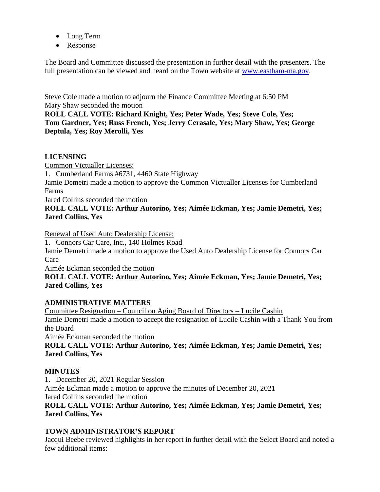- Long Term
- Response

The Board and Committee discussed the presentation in further detail with the presenters. The full presentation can be viewed and heard on the Town website at [www.eastham-ma.gov.](http://www.eastham-ma.gov/)

Steve Cole made a motion to adjourn the Finance Committee Meeting at 6:50 PM Mary Shaw seconded the motion

**ROLL CALL VOTE: Richard Knight, Yes; Peter Wade, Yes; Steve Cole, Yes; Tom Gardner, Yes; Russ French, Yes; Jerry Cerasale, Yes; Mary Shaw, Yes; George Deptula, Yes; Roy Merolli, Yes**

### **LICENSING**

Common Victualler Licenses:

1. Cumberland Farms #6731, 4460 State Highway

Jamie Demetri made a motion to approve the Common Victualler Licenses for Cumberland Farms

Jared Collins seconded the motion

## **ROLL CALL VOTE: Arthur Autorino, Yes; Aimée Eckman, Yes; Jamie Demetri, Yes; Jared Collins, Yes**

Renewal of Used Auto Dealership License:

1. Connors Car Care, Inc., 140 Holmes Road Jamie Demetri made a motion to approve the Used Auto Dealership License for Connors Car

Care

Aimée Eckman seconded the motion

### **ROLL CALL VOTE: Arthur Autorino, Yes; Aimée Eckman, Yes; Jamie Demetri, Yes; Jared Collins, Yes**

# **ADMINISTRATIVE MATTERS**

Committee Resignation – Council on Aging Board of Directors – Lucile Cashin Jamie Demetri made a motion to accept the resignation of Lucile Cashin with a Thank You from the Board

Aimée Eckman seconded the motion

**ROLL CALL VOTE: Arthur Autorino, Yes; Aimée Eckman, Yes; Jamie Demetri, Yes; Jared Collins, Yes**

### **MINUTES**

1. December 20, 2021 Regular Session

Aimée Eckman made a motion to approve the minutes of December 20, 2021 Jared Collins seconded the motion

**ROLL CALL VOTE: Arthur Autorino, Yes; Aimée Eckman, Yes; Jamie Demetri, Yes; Jared Collins, Yes**

# **TOWN ADMINISTRATOR'S REPORT**

Jacqui Beebe reviewed highlights in her report in further detail with the Select Board and noted a few additional items: